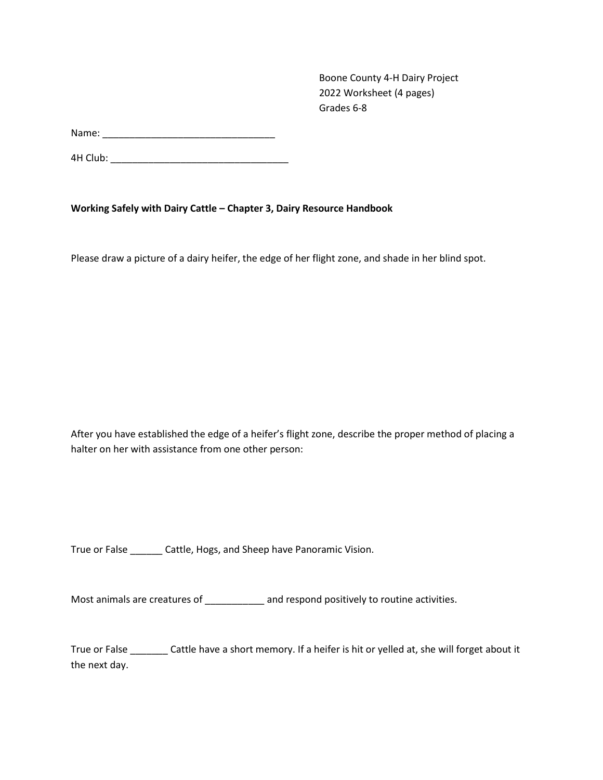Boone County 4-H Dairy Project 2022 Worksheet (4 pages) Grades 6-8

Name: \_\_\_\_\_\_\_\_\_\_\_\_\_\_\_\_\_\_\_\_\_\_\_\_\_\_\_\_\_\_\_\_

4H Club: \_\_\_\_\_\_\_\_\_\_\_\_\_\_\_\_\_\_\_\_\_\_\_\_\_\_\_\_\_\_\_\_\_

**Working Safely with Dairy Cattle – Chapter 3, Dairy Resource Handbook**

Please draw a picture of a dairy heifer, the edge of her flight zone, and shade in her blind spot.

After you have established the edge of a heifer's flight zone, describe the proper method of placing a halter on her with assistance from one other person:

True or False \_\_\_\_\_\_ Cattle, Hogs, and Sheep have Panoramic Vision.

Most animals are creatures of **and respond positively to routine activities.** 

True or False \_\_\_\_\_\_\_ Cattle have a short memory. If a heifer is hit or yelled at, she will forget about it the next day.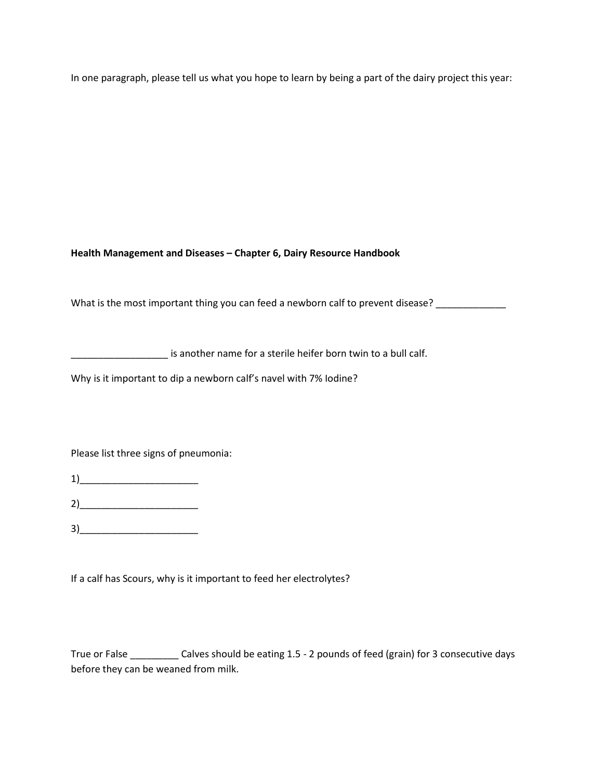In one paragraph, please tell us what you hope to learn by being a part of the dairy project this year:

**Health Management and Diseases – Chapter 6, Dairy Resource Handbook**

What is the most important thing you can feed a newborn calf to prevent disease? \_\_\_\_\_\_\_\_\_\_\_\_\_\_\_\_\_\_\_\_\_\_\_\_\_\_\_\_\_

\_\_\_\_\_\_\_\_\_\_\_\_\_\_\_\_\_\_ is another name for a sterile heifer born twin to a bull calf.

Why is it important to dip a newborn calf's navel with 7% Iodine?

Please list three signs of pneumonia:

1)\_\_\_\_\_\_\_\_\_\_\_\_\_\_\_\_\_\_\_\_\_\_

2)\_\_\_\_\_\_\_\_\_\_\_\_\_\_\_\_\_\_\_\_\_\_

 $3)$ 

If a calf has Scours, why is it important to feed her electrolytes?

True or False \_\_\_\_\_\_\_\_\_ Calves should be eating 1.5 - 2 pounds of feed (grain) for 3 consecutive days before they can be weaned from milk.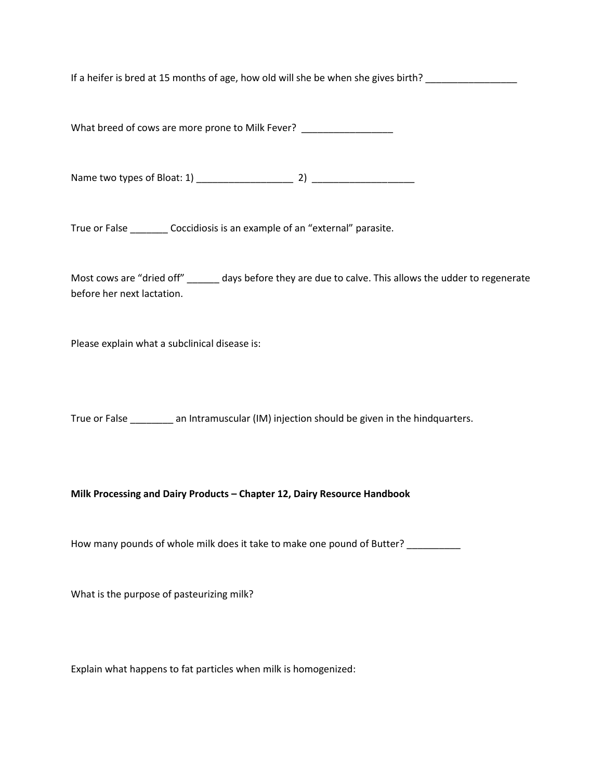If a heifer is bred at 15 months of age, how old will she be when she gives birth?

What breed of cows are more prone to Milk Fever? \_\_\_\_\_\_\_\_\_\_\_\_\_\_\_\_\_\_

Name two types of Bloat: 1) \_\_\_\_\_\_\_\_\_\_\_\_\_\_\_\_\_\_ 2) \_\_\_\_\_\_\_\_\_\_\_\_\_\_\_\_\_\_\_

True or False Coccidiosis is an example of an "external" parasite.

Most cows are "dried off" \_\_\_\_\_\_ days before they are due to calve. This allows the udder to regenerate before her next lactation.

Please explain what a subclinical disease is:

True or False \_\_\_\_\_\_\_\_ an Intramuscular (IM) injection should be given in the hindquarters.

**Milk Processing and Dairy Products – Chapter 12, Dairy Resource Handbook**

How many pounds of whole milk does it take to make one pound of Butter? \_\_\_\_\_\_\_\_

What is the purpose of pasteurizing milk?

Explain what happens to fat particles when milk is homogenized: